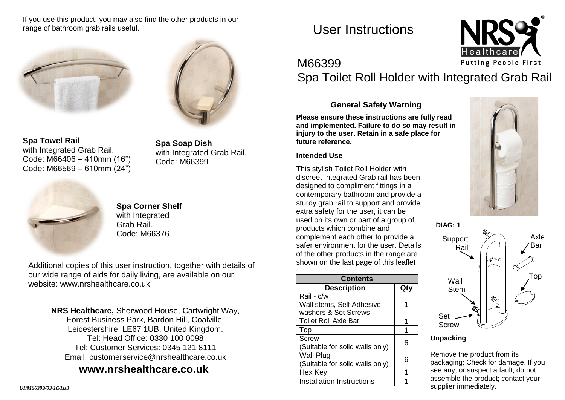If you use this product, you may also find the other products in our range of bathroom grab rails useful.





**Spa Towel Rail** with Integrated Grab Rail. Code: M66406 – 410mm (16") Code: M66569 – 610mm (24")

**Spa Soap Dish** with Integrated Grab Rail. Code: M66399



**Spa Corner Shelf** with Integrated Grab Rail.

Additional copies of this user instruction, together with details of our wide range of aids for daily living, are available on our website: [www.nrshealthcare.co.uk](http://www.nrshealthcare.co.uk/)

> **NRS Healthcare,** Sherwood House, Cartwright Way, Forest Business Park, Bardon Hill, Coalville, Leicestershire, LE67 1UB, United Kingdom. Tel: Head Office: 0330 100 0098 Tel: Customer Services: 0345 121 8111 Email: [customerservice@nrshealthcare.co.uk](mailto:customerservice@nrshealthcare.co.uk)

# **[www.nrshealthcare.co.uk](http://www.nrshealthcare.co.uk/)**

*UI/M66399/03/16/Iss3*

User Instructions



# M66399

Spa Toilet Roll Holder with Integrated Grab Rail

# **General Safety Warning**

**Please ensure these instructions are fully read and implemented. Failure to do so may result in injury to the user. Retain in a safe place for future reference.**

## **Intended Use**

This stylish Toilet Roll Holder with discreet Integrated Grab rail has been designed to compliment fittings in a contemporary bathroom and provide a sturdy grab rail to support and provide extra safety for the user, it can be used on its own or part of a group of products which combine and Code: M66376 **Complement each other to provide a** Support and Support Axle safer environment for the user. Details of the other products in the range are shown on the last page of this leaflet

| <b>Contents</b>                  |    |
|----------------------------------|----|
| <b>Description</b>               | Qt |
| Rail - c/w                       |    |
| Wall stems, Self Adhesive        |    |
| washers & Set Screws             |    |
| Toilet Roll Axle Bar             | 1  |
| Top                              |    |
| <b>Screw</b>                     | հ  |
| (Suitable for solid walls only)  |    |
| <b>Wall Plug</b>                 | հ  |
| (Suitable for solid walls only)  |    |
| Hex Key                          |    |
| <b>Installation Instructions</b> |    |





### **Unpacking**

Remove the product from its packaging; Check for damage. If you see any, or suspect a fault, do not assemble the product; contact your supplier immediately.